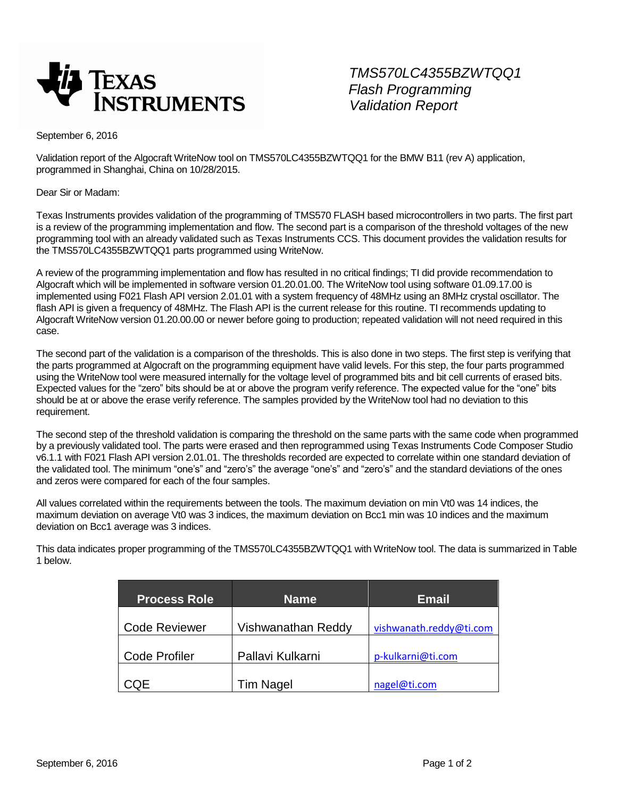

*TMS570LC4355BZWTQQ1 Flash Programming*

September 6, 2016

Validation report of the Algocraft WriteNow tool on TMS570LC4355BZWTQQ1 for the BMW B11 (rev A) application, programmed in Shanghai, China on 10/28/2015.

Dear Sir or Madam:

Texas Instruments provides validation of the programming of TMS570 FLASH based microcontrollers in two parts. The first part is a review of the programming implementation and flow. The second part is a comparison of the threshold voltages of the new programming tool with an already validated such as Texas Instruments CCS. This document provides the validation results for the TMS570LC4355BZWTQQ1 parts programmed using WriteNow.

A review of the programming implementation and flow has resulted in no critical findings; TI did provide recommendation to Algocraft which will be implemented in software version 01.20.01.00. The WriteNow tool using software 01.09.17.00 is implemented using F021 Flash API version 2.01.01 with a system frequency of 48MHz using an 8MHz crystal oscillator. The flash API is given a frequency of 48MHz. The Flash API is the current release for this routine. TI recommends updating to Algocraft WriteNow version 01.20.00.00 or newer before going to production; repeated validation will not need required in this case.

The second part of the validation is a comparison of the thresholds. This is also done in two steps. The first step is verifying that the parts programmed at Algocraft on the programming equipment have valid levels. For this step, the four parts programmed using the WriteNow tool were measured internally for the voltage level of programmed bits and bit cell currents of erased bits. Expected values for the "zero" bits should be at or above the program verify reference. The expected value for the "one" bits should be at or above the erase verify reference. The samples provided by the WriteNow tool had no deviation to this requirement.

The second step of the threshold validation is comparing the threshold on the same parts with the same code when programmed by a previously validated tool. The parts were erased and then reprogrammed using Texas Instruments Code Composer Studio v6.1.1 with F021 Flash API version 2.01.01. The thresholds recorded are expected to correlate within one standard deviation of the validated tool. The minimum "one's" and "zero's" the average "one's" and "zero's" and the standard deviations of the ones and zeros were compared for each of the four samples.

All values correlated within the requirements between the tools. The maximum deviation on min Vt0 was 14 indices, the maximum deviation on average Vt0 was 3 indices, the maximum deviation on Bcc1 min was 10 indices and the maximum deviation on Bcc1 average was 3 indices.

This data indicates proper programming of the TMS570LC4355BZWTQQ1 with WriteNow tool. The data is summarized in Table 1 below.

| <b>Process Role</b>  | <b>Name</b>        | <b>Email</b>            |  |
|----------------------|--------------------|-------------------------|--|
| <b>Code Reviewer</b> | Vishwanathan Reddy | vishwanath.reddy@ti.com |  |
| <b>Code Profiler</b> | Pallavi Kulkarni   | p-kulkarni@ti.com       |  |
| CQE                  | <b>Tim Nagel</b>   | nagel@ti.com            |  |